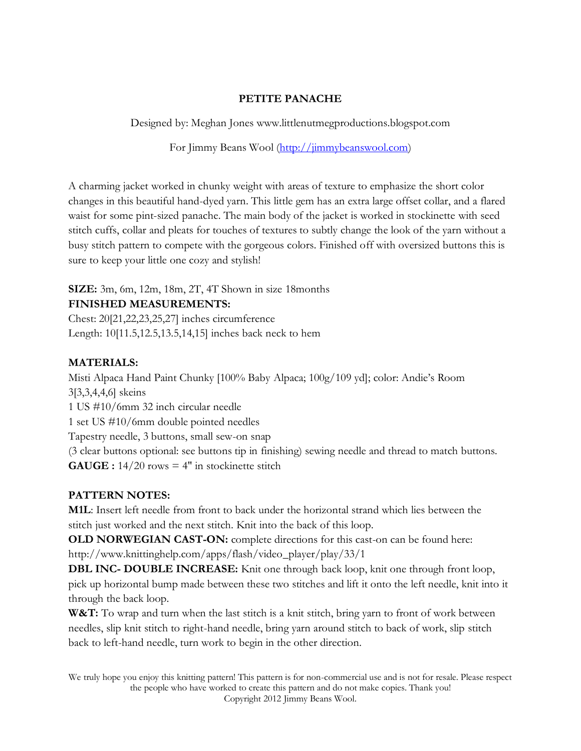# **PETITE PANACHE**

Designed by: Meghan Jones www.littlenutmegproductions.blogspot.com

For Jimmy Beans Wool [\(http://jimmybeanswool.com\)](http://jimmybeanswool.com/)

A charming jacket worked in chunky weight with areas of texture to emphasize the short color changes in this beautiful hand-dyed yarn. This little gem has an extra large offset collar, and a flared waist for some pint-sized panache. The main body of the jacket is worked in stockinette with seed stitch cuffs, collar and pleats for touches of textures to subtly change the look of the yarn without a busy stitch pattern to compete with the gorgeous colors. Finished off with oversized buttons this is sure to keep your little one cozy and stylish!

### **SIZE:** 3m, 6m, 12m, 18m, 2T, 4T Shown in size 18months **FINISHED MEASUREMENTS:**

Chest: 20[21,22,23,25,27] inches circumference Length: 10[11.5,12.5,13.5,14,15] inches back neck to hem

# **MATERIALS:**

Misti Alpaca Hand Paint Chunky [100% Baby Alpaca; 100g/109 yd]; color: Andie's Room 3[3,3,4,4,6] skeins

1 US #10/6mm 32 inch circular needle

1 set US #10/6mm double pointed needles

Tapestry needle, 3 buttons, small sew-on snap

(3 clear buttons optional: see buttons tip in finishing) sewing needle and thread to match buttons.  $GAUGE : 14/20 rows = 4" in stochastic state$ 

# **PATTERN NOTES:**

**M1L**: Insert left needle from front to back under the horizontal strand which lies between the stitch just worked and the next stitch. Knit into the back of this loop.

**OLD NORWEGIAN CAST-ON:** complete directions for this cast-on can be found here: http://www.knittinghelp.com/apps/flash/video\_player/play/33/1

**DBL INC- DOUBLE INCREASE:** Knit one through back loop, knit one through front loop, pick up horizontal bump made between these two stitches and lift it onto the left needle, knit into it through the back loop.

**W&T:** To wrap and turn when the last stitch is a knit stitch, bring yarn to front of work between needles, slip knit stitch to right-hand needle, bring yarn around stitch to back of work, slip stitch back to left-hand needle, turn work to begin in the other direction.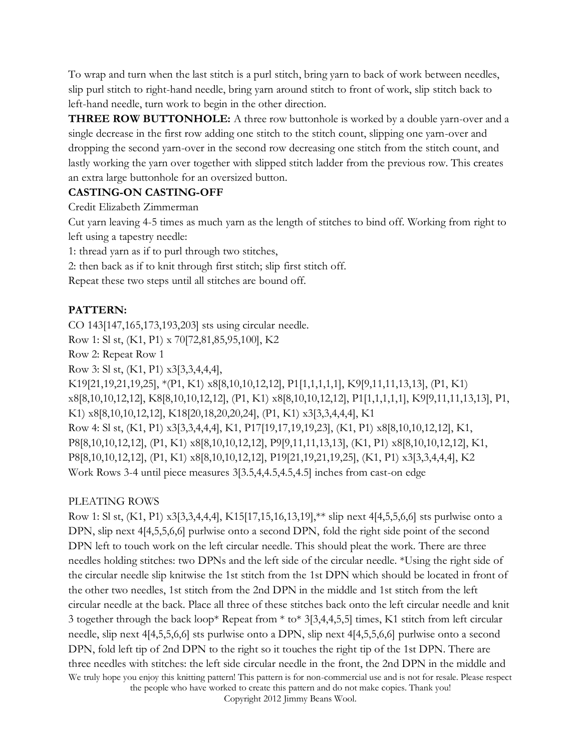To wrap and turn when the last stitch is a purl stitch, bring yarn to back of work between needles, slip purl stitch to right-hand needle, bring yarn around stitch to front of work, slip stitch back to left-hand needle, turn work to begin in the other direction.

**THREE ROW BUTTONHOLE:** A three row buttonhole is worked by a double yarn-over and a single decrease in the first row adding one stitch to the stitch count, slipping one yarn-over and dropping the second yarn-over in the second row decreasing one stitch from the stitch count, and lastly working the yarn over together with slipped stitch ladder from the previous row. This creates an extra large buttonhole for an oversized button.

### **CASTING-ON CASTING-OFF**

Credit Elizabeth Zimmerman

Cut yarn leaving 4-5 times as much yarn as the length of stitches to bind off. Working from right to left using a tapestry needle:

1: thread yarn as if to purl through two stitches,

2: then back as if to knit through first stitch; slip first stitch off.

Repeat these two steps until all stitches are bound off.

# **PATTERN:**

CO 143[147,165,173,193,203] sts using circular needle.

Row 1: Sl st, (K1, P1) x 70[72,81,85,95,100], K2

Row 2: Repeat Row 1

Row 3: Sl st, (K1, P1) x3[3,3,4,4,4],

K19[21,19,21,19,25], \*(P1, K1) x8[8,10,10,12,12], P1[1,1,1,1,1], K9[9,11,11,13,13], (P1, K1) x8[8,10,10,12,12], K8[8,10,10,12,12], (P1, K1) x8[8,10,10,12,12], P1[1,1,1,1,1], K9[9,11,11,13,13], P1, K1) x8[8,10,10,12,12], K18[20,18,20,20,24], (P1, K1) x3[3,3,4,4,4], K1 Row 4: Sl st, (K1, P1) x3[3,3,4,4,4], K1, P17[19,17,19,19,23], (K1, P1) x8[8,10,10,12,12], K1, P8[8,10,10,12,12], (P1, K1) x8[8,10,10,12,12], P9[9,11,11,13,13], (K1, P1) x8[8,10,10,12,12], K1, P8[8,10,10,12,12], (P1, K1) x8[8,10,10,12,12], P19[21,19,21,19,25], (K1, P1) x3[3,3,4,4,4], K2 Work Rows 3-4 until piece measures 3[3.5,4,4.5,4.5,4.5] inches from cast-on edge

# PLEATING ROWS

We truly hope you enjoy this knitting pattern! This pattern is for non-commercial use and is not for resale. Please respect the people who have worked to create this pattern and do not make copies. Thank you! Row 1: Sl st, (K1, P1) x3[3,3,4,4,4], K15[17,15,16,13,19],\*\* slip next 4[4,5,5,6,6] sts purlwise onto a DPN, slip next 4[4,5,5,6,6] purlwise onto a second DPN, fold the right side point of the second DPN left to touch work on the left circular needle. This should pleat the work. There are three needles holding stitches: two DPNs and the left side of the circular needle. \*Using the right side of the circular needle slip knitwise the 1st stitch from the 1st DPN which should be located in front of the other two needles, 1st stitch from the 2nd DPN in the middle and 1st stitch from the left circular needle at the back. Place all three of these stitches back onto the left circular needle and knit 3 together through the back loop\* Repeat from \* to\* 3[3,4,4,5,5] times, K1 stitch from left circular needle, slip next 4[4,5,5,6,6] sts purlwise onto a DPN, slip next 4[4,5,5,6,6] purlwise onto a second DPN, fold left tip of 2nd DPN to the right so it touches the right tip of the 1st DPN. There are three needles with stitches: the left side circular needle in the front, the 2nd DPN in the middle and

Copyright 2012 Jimmy Beans Wool.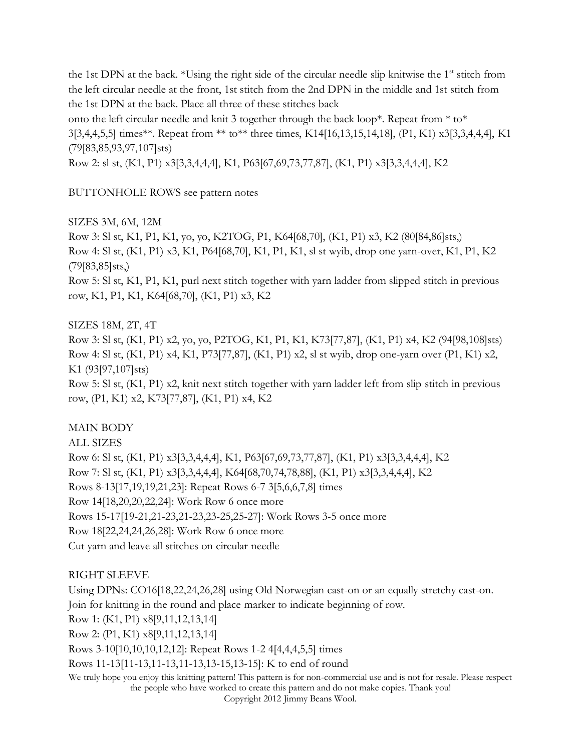the 1st DPN at the back. \*Using the right side of the circular needle slip knitwise the  $1<sup>st</sup>$  stitch from the left circular needle at the front, 1st stitch from the 2nd DPN in the middle and 1st stitch from the 1st DPN at the back. Place all three of these stitches back

onto the left circular needle and knit 3 together through the back loop\*. Repeat from  $*$  to\* 3[3,4,4,5,5] times\*\*. Repeat from \*\* to\*\* three times, K14[16,13,15,14,18], (P1, K1) x3[3,3,4,4,4], K1 (79[83,85,93,97,107]sts)

Row 2: sl st, (K1, P1) x3[3,3,4,4,4], K1, P63[67,69,73,77,87], (K1, P1) x3[3,3,4,4,4], K2

BUTTONHOLE ROWS see pattern notes

SIZES 3M, 6M, 12M

Row 3: Sl st, K1, P1, K1, yo, yo, K2TOG, P1, K64[68,70], (K1, P1) x3, K2 (80[84,86]sts,) Row 4: Sl st, (K1, P1) x3, K1, P64[68,70], K1, P1, K1, sl st wyib, drop one yarn-over, K1, P1, K2 (79[83,85]sts,)

Row 5: Sl st, K1, P1, K1, purl next stitch together with yarn ladder from slipped stitch in previous row, K1, P1, K1, K64[68,70], (K1, P1) x3, K2

SIZES 18M, 2T, 4T

Row 3: Sl st, (K1, P1) x2, yo, yo, P2TOG, K1, P1, K1, K73[77,87], (K1, P1) x4, K2 (94[98,108]sts) Row 4: Sl st, (K1, P1) x4, K1, P73[77,87], (K1, P1) x2, sl st wyib, drop one-yarn over (P1, K1) x2, K1 (93[97,107]sts)

Row 5: Sl st, (K1, P1) x2, knit next stitch together with yarn ladder left from slip stitch in previous row, (P1, K1) x2, K73[77,87], (K1, P1) x4, K2

# MAIN BODY

ALL SIZES

Row 6: Sl st, (K1, P1) x3[3,3,4,4,4], K1, P63[67,69,73,77,87], (K1, P1) x3[3,3,4,4,4], K2 Row 7: Sl st, (K1, P1) x3[3,3,4,4,4], K64[68,70,74,78,88], (K1, P1) x3[3,3,4,4,4], K2 Rows 8-13[17,19,19,21,23]: Repeat Rows 6-7 3[5,6,6,7,8] times Row 14[18,20,20,22,24]: Work Row 6 once more Rows 15-17[19-21,21-23,21-23,23-25,25-27]: Work Rows 3-5 once more Row 18[22,24,24,26,28]: Work Row 6 once more Cut yarn and leave all stitches on circular needle

#### RIGHT SLEEVE

We truly hope you enjoy this knitting pattern! This pattern is for non-commercial use and is not for resale. Please respect the people who have worked to create this pattern and do not make copies. Thank you! Copyright 2012 Jimmy Beans Wool. Using DPNs: CO16[18,22,24,26,28] using Old Norwegian cast-on or an equally stretchy cast-on. Join for knitting in the round and place marker to indicate beginning of row. Row 1: (K1, P1) x8[9,11,12,13,14] Row 2: (P1, K1) x8[9,11,12,13,14] Rows 3-10[10,10,10,12,12]: Repeat Rows 1-2 4[4,4,4,5,5] times Rows 11-13[11-13,11-13,11-13,13-15,13-15]: K to end of round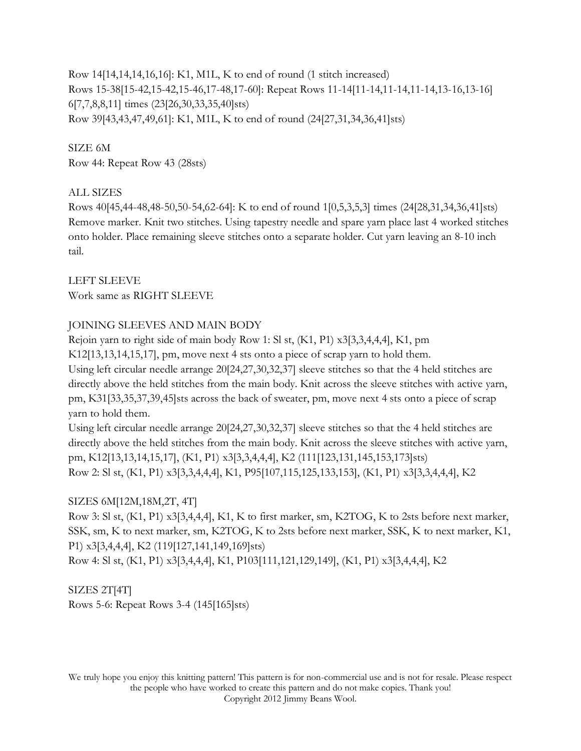Row 14[14,14,14,16,16]: K1, M1L, K to end of round (1 stitch increased) Rows 15-38[15-42,15-42,15-46,17-48,17-60]: Repeat Rows 11-14[11-14,11-14,11-14,13-16,13-16] 6[7,7,8,8,11] times (23[26,30,33,35,40]sts) Row 39[43,43,47,49,61]: K1, M1L, K to end of round (24[27,31,34,36,41]sts)

SIZE 6M Row 44: Repeat Row 43 (28sts)

# ALL SIZES

Rows 40[45,44-48,48-50,50-54,62-64]: K to end of round 1[0,5,3,5,3] times (24[28,31,34,36,41]sts) Remove marker. Knit two stitches. Using tapestry needle and spare yarn place last 4 worked stitches onto holder. Place remaining sleeve stitches onto a separate holder. Cut yarn leaving an 8-10 inch tail.

LEFT SLEEVE Work same as RIGHT SLEEVE

# JOINING SLEEVES AND MAIN BODY

Rejoin yarn to right side of main body Row 1: Sl st, (K1, P1) x3[3,3,4,4,4], K1, pm K12[13,13,14,15,17], pm, move next 4 sts onto a piece of scrap yarn to hold them. Using left circular needle arrange 20[24,27,30,32,37] sleeve stitches so that the 4 held stitches are directly above the held stitches from the main body. Knit across the sleeve stitches with active yarn, pm, K31[33,35,37,39,45]sts across the back of sweater, pm, move next 4 sts onto a piece of scrap yarn to hold them.

Using left circular needle arrange 20[24,27,30,32,37] sleeve stitches so that the 4 held stitches are directly above the held stitches from the main body. Knit across the sleeve stitches with active yarn, pm, K12[13,13,14,15,17], (K1, P1) x3[3,3,4,4,4], K2 (111[123,131,145,153,173]sts) Row 2: Sl st, (K1, P1) x3[3,3,4,4,4], K1, P95[107,115,125,133,153], (K1, P1) x3[3,3,4,4,4], K2

# SIZES 6M[12M,18M,2T, 4T]

Row 3: Sl st, (K1, P1) x3[3,4,4,4], K1, K to first marker, sm, K2TOG, K to 2sts before next marker, SSK, sm, K to next marker, sm, K2TOG, K to 2sts before next marker, SSK, K to next marker, K1, P1) x3[3,4,4,4], K2 (119[127,141,149,169]sts)

Row 4: Sl st, (K1, P1) x3[3,4,4,4], K1, P103[111,121,129,149], (K1, P1) x3[3,4,4,4], K2

# SIZES 2T[4T]

Rows 5-6: Repeat Rows 3-4 (145[165]sts)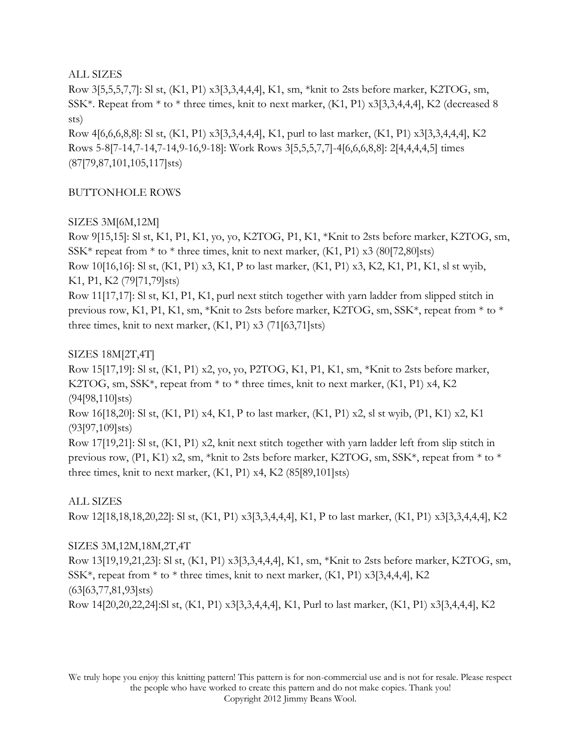#### ALL SIZES

Row 3[5,5,5,7,7]: Sl st, (K1, P1) x3[3,3,4,4,4], K1, sm, \*knit to 2sts before marker, K2TOG, sm, SSK\*. Repeat from \* to \* three times, knit to next marker, (K1, P1) x3[3,3,4,4,4], K2 (decreased 8 sts)

Row 4[6,6,6,8,8]: Sl st, (K1, P1) x3[3,3,4,4,4], K1, purl to last marker, (K1, P1) x3[3,3,4,4,4], K2 Rows 5-8[7-14,7-14,7-14,9-16,9-18]: Work Rows 3[5,5,5,7,7]-4[6,6,6,8,8]: 2[4,4,4,4,5] times (87[79,87,101,105,117]sts)

### BUTTONHOLE ROWS

# SIZES 3M[6M,12M]

Row 9[15,15]: Sl st, K1, P1, K1, yo, yo, K2TOG, P1, K1, \*Knit to 2sts before marker, K2TOG, sm,  $SSK*$  repeat from  $*$  to  $*$  three times, knit to next marker,  $(K1, P1)$  x3 (80[72,80]sts) Row 10[16,16]: Sl st, (K1, P1) x3, K1, P to last marker, (K1, P1) x3, K2, K1, P1, K1, sl st wyib, K1, P1, K2 (79[71,79]sts)

Row 11[17,17]: Sl st, K1, P1, K1, purl next stitch together with yarn ladder from slipped stitch in previous row, K1, P1, K1, sm, \*Knit to 2sts before marker, K2TOG, sm, SSK\*, repeat from \* to \* three times, knit to next marker,  $(K1, P1)$  x3  $(71[63, 71]$ sts)

# SIZES 18M[2T,4T]

Row 15[17,19]: Sl st, (K1, P1) x2, yo, yo, P2TOG, K1, P1, K1, sm, \*Knit to 2sts before marker, K2TOG, sm,  $SSK^*$ , repeat from  $*$  to  $*$  three times, knit to next marker,  $(K1, P1)$  x4, K2 (94[98,110]sts)

Row 16[18,20]: Sl st, (K1, P1) x4, K1, P to last marker, (K1, P1) x2, sl st wyib, (P1, K1) x2, K1 (93[97,109]sts)

Row 17[19,21]: Sl st, (K1, P1) x2, knit next stitch together with yarn ladder left from slip stitch in previous row,  $(P1, K1)$  x2, sm, \*knit to 2sts before marker, K2TOG, sm, SSK\*, repeat from \* to \* three times, knit to next marker,  $(K1, P1)$  x4,  $K2$   $(85[89, 101]$ sts)

# ALL SIZES

Row 12[18,18,18,20,22]: Sl st, (K1, P1) x3[3,3,4,4,4], K1, P to last marker, (K1, P1) x3[3,3,4,4,4], K2

# SIZES 3M,12M,18M,2T,4T

Row 13[19,19,21,23]: Sl st, (K1, P1) x3[3,3,4,4,4], K1, sm, \*Knit to 2sts before marker, K2TOG, sm,  $SSK^*$ , repeat from  $*$  to  $*$  three times, knit to next marker,  $(K1, P1)$  x3[3,4,4,4], K2 (63[63,77,81,93]sts) Row 14[20,20,22,24]:Sl st, (K1, P1) x3[3,3,4,4,4], K1, Purl to last marker, (K1, P1) x3[3,4,4,4], K2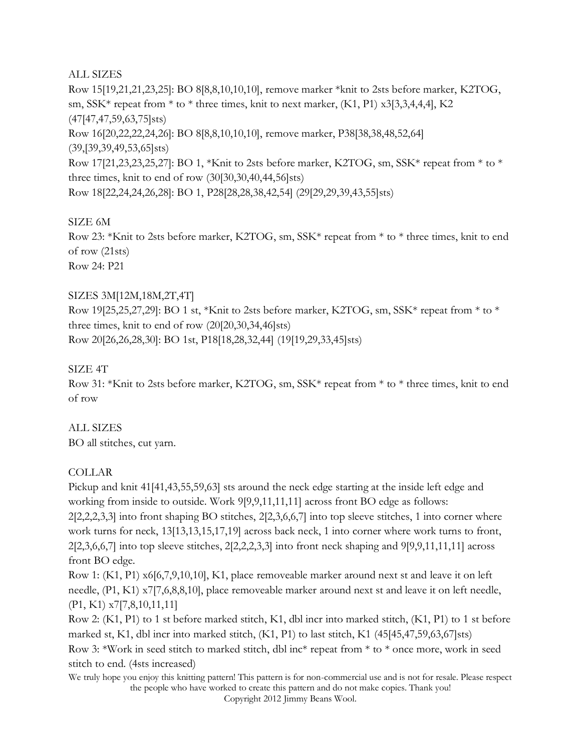### ALL SIZES

Row 15[19,21,21,23,25]: BO 8[8,8,10,10,10], remove marker \*knit to 2sts before marker, K2TOG, sm, SSK\* repeat from \* to \* three times, knit to next marker, (K1, P1) x3[3,3,4,4,4], K2 (47[47,47,59,63,75]sts) Row 16[20,22,22,24,26]: BO 8[8,8,10,10,10], remove marker, P38[38,38,48,52,64] (39,[39,39,49,53,65]sts) Row 17[21,23,23,25,27]: BO 1, \*Knit to 2sts before marker, K2TOG, sm, SSK\* repeat from \* to \* three times, knit to end of row (30[30,30,40,44,56]sts) Row 18[22,24,24,26,28]: BO 1, P28[28,28,38,42,54] (29[29,29,39,43,55]sts)

# SIZE 6M

Row 23: \*Knit to 2sts before marker, K2TOG, sm, SSK\* repeat from \* to \* three times, knit to end of row (21sts) Row 24: P21

### SIZES 3M[12M,18M,2T,4T]

Row 19[25,25,27,29]: BO 1 st, \*Knit to 2sts before marker, K2TOG, sm, SSK\* repeat from \* to \* three times, knit to end of row (20[20,30,34,46]sts) Row 20[26,26,28,30]: BO 1st, P18[18,28,32,44] (19[19,29,33,45]sts)

### SIZE 4T

Row 31: \*Knit to 2sts before marker, K2TOG, sm, SSK\* repeat from \* to \* three times, knit to end of row

#### ALL SIZES

BO all stitches, cut yarn.

# COLLAR

Pickup and knit 41[41,43,55,59,63] sts around the neck edge starting at the inside left edge and working from inside to outside. Work 9[9,9,11,11,11] across front BO edge as follows: 2[2,2,2,3,3] into front shaping BO stitches, 2[2,3,6,6,7] into top sleeve stitches, 1 into corner where work turns for neck, 13[13,13,15,17,19] across back neck, 1 into corner where work turns to front, 2[2,3,6,6,7] into top sleeve stitches, 2[2,2,2,3,3] into front neck shaping and 9[9,9,11,11,11] across front BO edge.

Row 1: (K1, P1) x6[6,7,9,10,10], K1, place removeable marker around next st and leave it on left needle, (P1, K1) x7[7,6,8,8,10], place removeable marker around next st and leave it on left needle, (P1, K1) x7[7,8,10,11,11]

Row 2: (K1, P1) to 1 st before marked stitch, K1, dbl incr into marked stitch, (K1, P1) to 1 st before marked st, K1, dbl incr into marked stitch, (K1, P1) to last stitch, K1 (45[45,47,59,63,67]sts) Row 3: \*Work in seed stitch to marked stitch, dbl inc\* repeat from \* to \* once more, work in seed stitch to end. (4sts increased)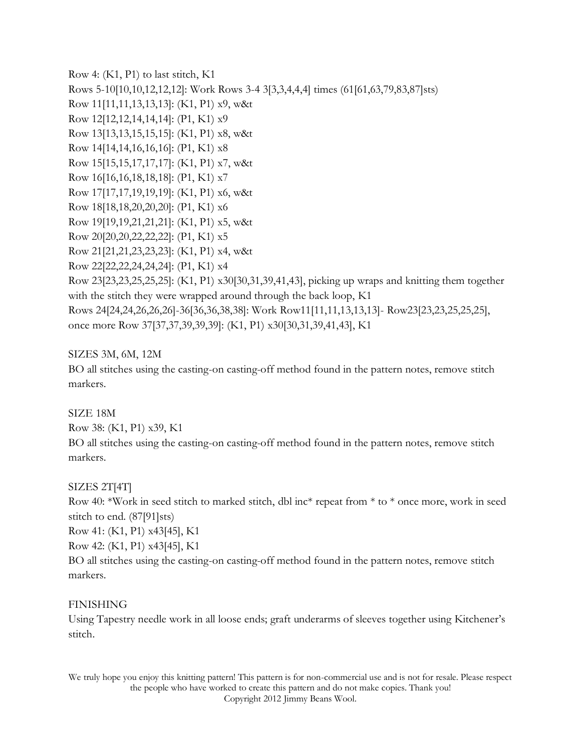Row 4: (K1, P1) to last stitch, K1 Rows 5-10[10,10,12,12,12]: Work Rows 3-4 3[3,3,4,4,4] times (61[61,63,79,83,87]sts) Row 11[11,11,13,13,13]: (K1, P1) x9, w&t Row 12[12,12,14,14,14]: (P1, K1) x9 Row 13[13,13,15,15,15]: (K1, P1) x8, w&t Row 14[14,14,16,16,16]: (P1, K1) x8 Row 15[15,15,17,17,17]: (K1, P1) x7, w&t Row 16[16,16,18,18,18]: (P1, K1) x7 Row 17[17,17,19,19,19]: (K1, P1) x6, w&t Row 18[18,18,20,20,20]: (P1, K1) x6 Row 19[19,19,21,21,21]: (K1, P1) x5, w&t Row 20[20,20,22,22,22]: (P1, K1) x5 Row 21[21,21,23,23,23]: (K1, P1) x4, w&t Row 22[22,22,24,24,24]: (P1, K1) x4 Row 23[23,23,25,25,25]: (K1, P1) x30[30,31,39,41,43], picking up wraps and knitting them together with the stitch they were wrapped around through the back loop, K1 Rows 24[24,24,26,26,26]-36[36,36,38,38]: Work Row11[11,11,13,13,13]- Row23[23,23,25,25,25], once more Row 37[37,37,39,39,39]: (K1, P1) x30[30,31,39,41,43], K1

### SIZES 3M, 6M, 12M

BO all stitches using the casting-on casting-off method found in the pattern notes, remove stitch markers.

#### SIZE 18M

Row 38: (K1, P1) x39, K1

BO all stitches using the casting-on casting-off method found in the pattern notes, remove stitch markers.

#### SIZES 2T[4T]

Row 40: \*Work in seed stitch to marked stitch, dbl inc\* repeat from \* to \* once more, work in seed stitch to end. (87[91]sts)

Row 41: (K1, P1) x43[45], K1

Row 42: (K1, P1) x43[45], K1

BO all stitches using the casting-on casting-off method found in the pattern notes, remove stitch markers.

#### FINISHING

Using Tapestry needle work in all loose ends; graft underarms of sleeves together using Kitchener's stitch.